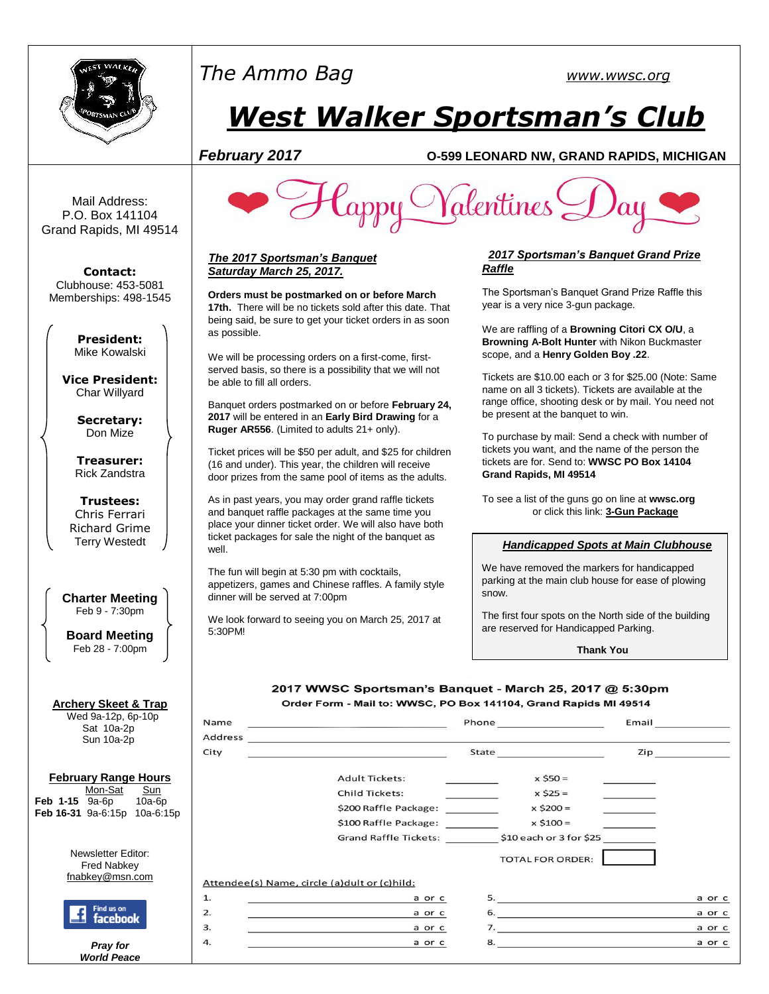

# *The Ammo Bag [www.wwsc.org](http://www.wwsc.org/)*

# *West Walker Sportsman's Club*

# *February 2017* **O-599 LEONARD NW, GRAND RAPIDS, MICHIGAN**

Mail Address: P.O. Box 141104 Grand Rapids, MI 49514

**Contact:** Clubhouse: 453-5081 Memberships: 498-1545

> **President:** Mike Kowalski

**Vice President:** Char Willyard

> **Secretary:** Don Mize

**Treasurer:** Rick Zandstra

**Trustees:** Chris Ferrari Richard Grime Terry Westedt

**Charter Meeting**  Feb 9 - 7:30pm

**Board Meeting** Feb 28 - 7:00pm

# **Archery Skeet & Trap**

 Wed 9a-12p, 6p-10p Sat 10a-2p Sun 10a-2p

#### **February Range Hours** Mon-Sat Sun **Feb 1-15** 9a-6p 10a-6p

**Feb 16-31** 9a-6:15p 10a-6:15p

Newsletter Editor: Fred Nabkey [fnabkey@msn.com](mailto:fnabkey@msn.com)



*Pray for World Peace*



#### *The 2017 Sportsman's Banquet Saturday March 25, 2017.*

**Orders must be postmarked on or before March 17th.** There will be no tickets sold after this date. That being said, be sure to get your ticket orders in as soon as possible.

We will be processing orders on a first-come, firstserved basis, so there is a possibility that we will not be able to fill all orders.

Banquet orders postmarked on or before **February 24, 2017** will be entered in an **Early Bird Drawing** for a **Ruger AR556**. (Limited to adults 21+ only).

Ticket prices will be \$50 per adult, and \$25 for children (16 and under). This year, the children will receive door prizes from the same pool of items as the adults.

As in past years, you may order grand raffle tickets and banquet raffle packages at the same time you place your dinner ticket order. We will also have both ticket packages for sale the night of the banquet as well.

The fun will begin at 5:30 pm with cocktails, appetizers, games and Chinese raffles. A family style dinner will be served at 7:00pm

We look forward to seeing you on March 25, 2017 at 5:30PM!

## *2017 Sportsman's Banquet Grand Prize Raffle*

The Sportsman's Banquet Grand Prize Raffle this year is a very nice 3-gun package.

We are raffling of a **Browning Citori CX O/U**, a **Browning A-Bolt Hunter** with Nikon Buckmaster scope, and a **Henry Golden Boy .22**.

Tickets are \$10.00 each or 3 for \$25.00 (Note: Same name on all 3 tickets). Tickets are available at the range office, shooting desk or by mail. You need not be present at the banquet to win.

To purchase by mail: Send a check with number of tickets you want, and the name of the person the tickets are for. Send to: **WWSC PO Box 14104 Grand Rapids, MI 49514**

To see a list of the guns go on line at **wwsc.org** or click this link: **[3-Gun Package](http://www.wwsc.org/img/archives/2016/2017.GrandRaffleFlyer.8.5x11.pdf)**

## *Handicapped Spots at Main Clubhouse*

We have removed the markers for handicapped parking at the main club house for ease of plowing snow.

The first four spots on the North side of the building are reserved for Handicapped Parking.

**Thank You**

#### 2017 WWSC Sportsman's Banquet - March 25, 2017 @ 5:30pm Order Form - Mail to: WWSC, PO Box 141104, Grand Rapids MI 49514

Name  $Phone$ Email Address City State Zip **Adult Tickets:**  $x$  \$50 = **Child Tickets:**  $x$  \$25 = \$200 Raffle Package: \_\_\_\_\_\_\_\_  $x $200 =$  $x $100 =$ Grand Raffle Tickets: \$10 each or 3 for \$25 **TOTAL FOR ORDER:** Attendee(s) Name, circle (a) dult or (c) hild:  $1.$ a or c a or c  $2.$ a or c  $\overline{7}$ . 3. a or c a or c 4. a or c a or c 8.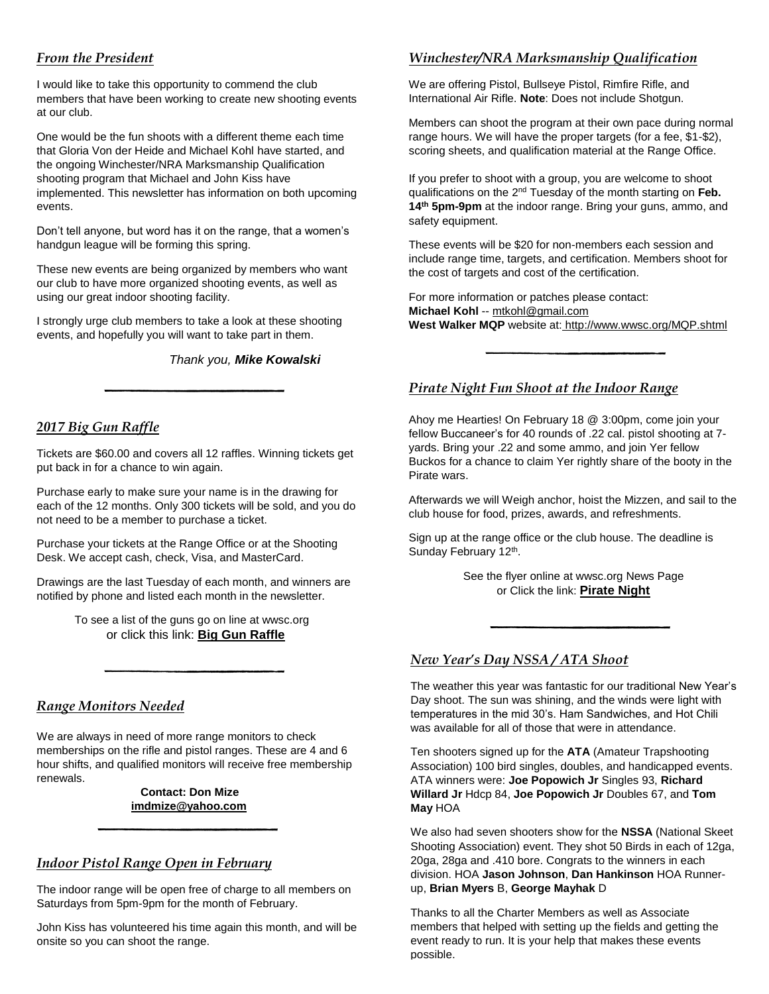# *From the President*

I would like to take this opportunity to commend the club members that have been working to create new shooting events at our club.

One would be the fun shoots with a different theme each time that Gloria Von der Heide and Michael Kohl have started, and the ongoing Winchester/NRA Marksmanship Qualification shooting program that Michael and John Kiss have implemented. This newsletter has information on both upcoming events.

Don't tell anyone, but word has it on the range, that a women's handgun league will be forming this spring.

These new events are being organized by members who want our club to have more organized shooting events, as well as using our great indoor shooting facility.

I strongly urge club members to take a look at these shooting events, and hopefully you will want to take part in them.

*Thank you, Mike Kowalski*

# *2017 Big Gun Raffle*

Tickets are \$60.00 and covers all 12 raffles. Winning tickets get put back in for a chance to win again.

Purchase early to make sure your name is in the drawing for each of the 12 months. Only 300 tickets will be sold, and you do not need to be a member to purchase a ticket.

Purchase your tickets at the Range Office or at the Shooting Desk. We accept cash, check, Visa, and MasterCard.

Drawings are the last Tuesday of each month, and winners are notified by phone and listed each month in the newsletter.

> To see a list of the guns go on line at wwsc.org or click this link: **[Big Gun Raffle](http://www.wwsc.org/img/archives/2016/2017BGR.16x22.Poster.pdf)**

# *Range Monitors Needed*

We are always in need of more range monitors to check memberships on the rifle and pistol ranges. These are 4 and 6 hour shifts, and qualified monitors will receive free membership renewals.

#### **Contact: Don Mize [imdmize@yahoo.com](mailto:imdmize@yahoo.com)**

# *Indoor Pistol Range Open in February*

The indoor range will be open free of charge to all members on Saturdays from 5pm-9pm for the month of February.

John Kiss has volunteered his time again this month, and will be onsite so you can shoot the range.

# *Winchester/NRA Marksmanship Qualification*

We are offering Pistol, Bullseye Pistol, Rimfire Rifle, and International Air Rifle. **Note**: Does not include Shotgun.

Members can shoot the program at their own pace during normal range hours. We will have the proper targets (for a fee, \$1-\$2), scoring sheets, and qualification material at the Range Office.

If you prefer to shoot with a group, you are welcome to shoot qualifications on the 2nd Tuesday of the month starting on **Feb. 14th 5pm-9pm** at the indoor range. Bring your guns, ammo, and safety equipment.

These events will be \$20 for non-members each session and include range time, targets, and certification. Members shoot for the cost of targets and cost of the certification.

For more information or patches please contact: **Michael Kohl** -- [mtkohl@gmail.com](mailto:mtkohl@gmail.com) **West Walker MQP** website at: <http://www.wwsc.org/MQP.shtml>

# *Pirate Night Fun Shoot at the Indoor Range*

Ahoy me Hearties! On February 18 @ 3:00pm, come join your fellow Buccaneer's for 40 rounds of .22 cal. pistol shooting at 7 yards. Bring your .22 and some ammo, and join Yer fellow Buckos for a chance to claim Yer rightly share of the booty in the Pirate wars.

Afterwards we will Weigh anchor, hoist the Mizzen, and sail to the club house for food, prizes, awards, and refreshments.

Sign up at the range office or the club house. The deadline is Sunday February 12<sup>th</sup>.

> See the flyer online at wwsc.org News Page or Click the link: **[Pirate Night](http://www.wwsc.org/img/archives/2016/PirateFlyer2017.pdf)**

# *New Year's Day NSSA / ATA Shoot*

The weather this year was fantastic for our traditional New Year's Day shoot. The sun was shining, and the winds were light with temperatures in the mid 30's. Ham Sandwiches, and Hot Chili was available for all of those that were in attendance.

Ten shooters signed up for the **ATA** (Amateur Trapshooting Association) 100 bird singles, doubles, and handicapped events. ATA winners were: **Joe Popowich Jr** Singles 93, **Richard Willard Jr** Hdcp 84, **Joe Popowich Jr** Doubles 67, and **Tom May** HOA

We also had seven shooters show for the **NSSA** (National Skeet Shooting Association) event. They shot 50 Birds in each of 12ga, 20ga, 28ga and .410 bore. Congrats to the winners in each division. HOA **Jason Johnson**, **Dan Hankinson** HOA Runnerup, **Brian Myers** B, **George Mayhak** D

Thanks to all the Charter Members as well as Associate members that helped with setting up the fields and getting the event ready to run. It is your help that makes these events possible.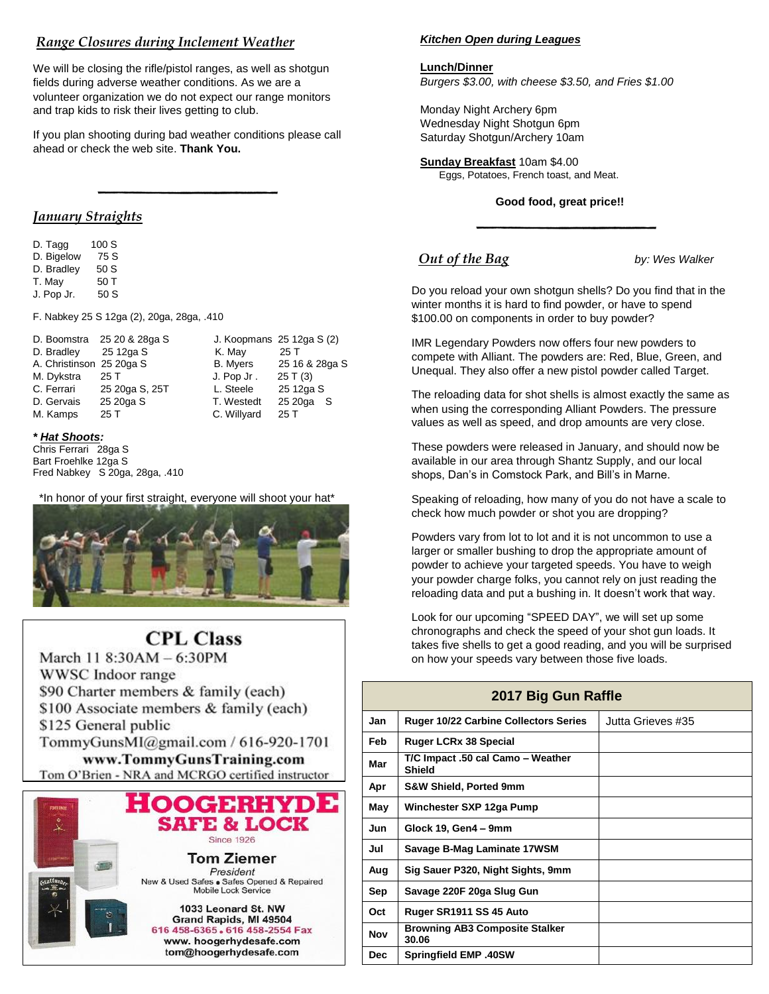# *Range Closures during Inclement Weather*

We will be closing the rifle/pistol ranges, as well as shotgun fields during adverse weather conditions. As we are a volunteer organization we do not expect our range monitors and trap kids to risk their lives getting to club.

If you plan shooting during bad weather conditions please call ahead or check the web site. **Thank You.**

# *January Straights*

D. Tagg 100 S D. Bigelow 75 S D. Bradley 50 S T. May 50 T J. Pop Jr. 50 S

F. Nabkey 25 S 12ga (2), 20ga, 28ga, .410

|                          | D. Boomstra 25 20 & 28ga S |                 | J. Koopmans 25 12ga S (2) |
|--------------------------|----------------------------|-----------------|---------------------------|
| D. Bradley               | 25 12ga S                  | K. May          | 25 T                      |
| A. Christinson 25 20ga S |                            | <b>B.</b> Myers | 25 16 & 28ga S            |
| M. Dykstra               | 25 T                       | J. Pop Jr.      | 25T(3)                    |
| C. Ferrari               | 25 20ga S, 25T             | L. Steele       | 25 12ga S                 |
| D. Gervais               | 25 20ga S                  | T. Westedt      | 25 20ga<br>- S            |
| M. Kamps                 | 25T                        | C. Willyard     | 25T                       |

#### *\* Hat Shoots:*

Chris Ferrari 28ga S Bart Froehlke 12ga S Fred Nabkey S 20ga, 28ga, .410

 \*In honor of your first straight, everyone will shoot your hat\*



# **CPL Class**

March 11 8:30AM - 6:30PM WWSC Indoor range \$90 Charter members & family (each) \$100 Associate members & family (each) \$125 General public TommyGunsMI@gmail.com / 616-920-1701 www.TommyGunsTraining.com Tom O'Brien - NRA and MCRGO certified instructor



#### *Kitchen Open during Leagues*

#### **Lunch/Dinner**

*Burgers \$3.00, with cheese \$3.50, and Fries \$1.00*

Monday Night Archery 6pm Wednesday Night Shotgun 6pm Saturday Shotgun/Archery 10am

#### **Sunday Breakfast** 10am \$4.00

Eggs, Potatoes, French toast, and Meat.

#### **Good food, great price!!**

# *<u>Out of the Bag</u> by: Wes Walker*

Do you reload your own shotgun shells? Do you find that in the winter months it is hard to find powder, or have to spend \$100.00 on components in order to buy powder?

IMR Legendary Powders now offers four new powders to compete with Alliant. The powders are: Red, Blue, Green, and Unequal. They also offer a new pistol powder called Target.

The reloading data for shot shells is almost exactly the same as when using the corresponding Alliant Powders. The pressure values as well as speed, and drop amounts are very close.

These powders were released in January, and should now be available in our area through Shantz Supply, and our local shops, Dan's in Comstock Park, and Bill's in Marne.

Speaking of reloading, how many of you do not have a scale to check how much powder or shot you are dropping?

Powders vary from lot to lot and it is not uncommon to use a larger or smaller bushing to drop the appropriate amount of powder to achieve your targeted speeds. You have to weigh your powder charge folks, you cannot rely on just reading the reloading data and put a bushing in. It doesn't work that way.

Look for our upcoming "SPEED DAY", we will set up some chronographs and check the speed of your shot gun loads. It takes five shells to get a good reading, and you will be surprised on how your speeds vary between those five loads.

# **2017 Big Gun Raffle**

| Jan        | <b>Ruger 10/22 Carbine Collectors Series</b>   | Jutta Grieves #35 |
|------------|------------------------------------------------|-------------------|
| Feb        | <b>Ruger LCRx 38 Special</b>                   |                   |
| Mar        | T/C Impact .50 cal Camo - Weather<br>Shield    |                   |
| Apr        | <b>S&amp;W Shield, Ported 9mm</b>              |                   |
| May        | Winchester SXP 12ga Pump                       |                   |
| Jun        | Glock 19, Gen4 - 9mm                           |                   |
| Jul        | Savage B-Mag Laminate 17WSM                    |                   |
| Aug        | Sig Sauer P320, Night Sights, 9mm              |                   |
| Sep        | Savage 220F 20ga Slug Gun                      |                   |
| Oct        | Ruger SR1911 SS 45 Auto                        |                   |
| <b>Nov</b> | <b>Browning AB3 Composite Stalker</b><br>30.06 |                   |
| <b>Dec</b> | <b>Springfield EMP .40SW</b>                   |                   |